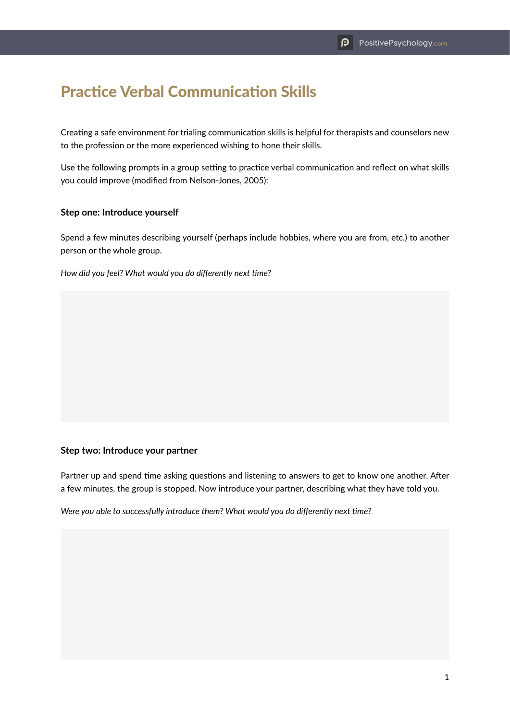# Practice Verbal Communication Skills

Creating a safe environment for trialing communication skills is helpful for therapists and counselors new to the profession or the more experienced wishing to hone their skills.

Use the following prompts in a group setting to practice verbal communication and reflect on what skills you could improve (modified from Nelson-Jones, 2005):

### **Step one: Introduce yourself**

Spend a few minutes describing yourself (perhaps include hobbies, where you are from, etc.) to another person or the whole group.

*How did you feel? What would you do differently next time?*

#### **Step two: Introduce your partner**

Partner up and spend time asking questions and listening to answers to get to know one another. After a few minutes, the group is stopped. Now introduce your partner, describing what they have told you.

*Were you able to successfully introduce them? What would you do differently next time?*